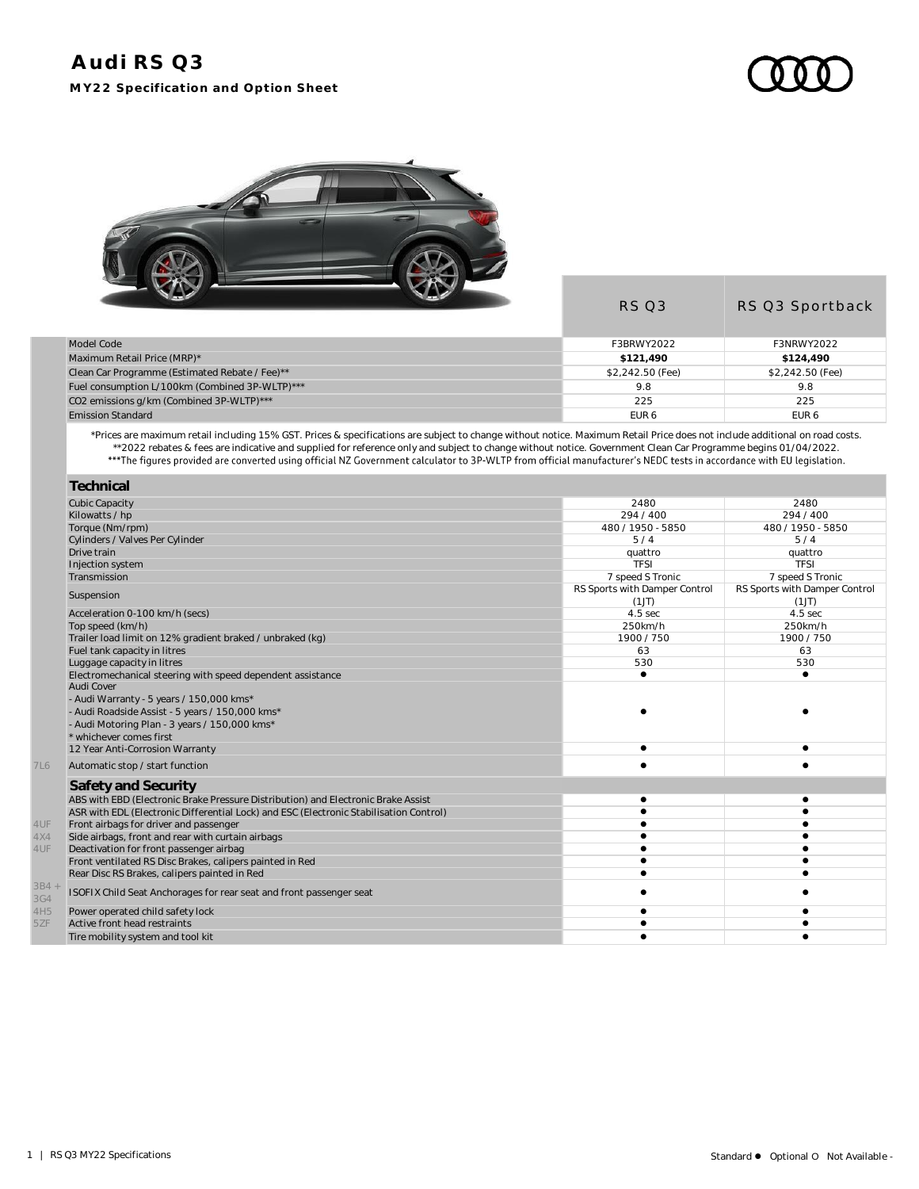## **Audi RS Q3 MY22 Specification and Option Sheet**





|                                                | <b>RS 03</b>     | RS Q3 Sportback  |
|------------------------------------------------|------------------|------------------|
| Model Code                                     | F3BRWY2022       | F3NRWY2022       |
| Maximum Retail Price (MRP)*                    | \$121.490        | \$124,490        |
| Clean Car Programme (Estimated Rebate / Fee)** | \$2,242.50 (Fee) | \$2,242.50 (Fee) |
| Fuel consumption L/100km (Combined 3P-WLTP)*** | 9.8              | 9.8              |
| CO2 emissions g/km (Combined 3P-WLTP)***       | 225              | 225              |
| <b>Emission Standard</b>                       | EUR <sub>6</sub> | EUR <sub>6</sub> |

\*Prices are maximum retail including 15% GST. Prices & specifications are subject to change without notice. Maximum Retail Price does not include additional on road costs. \*\*2022 rebates & fees are indicative and supplied for reference only and subject to change without notice. Government Clean Car Programme begins 01/04/2022.

|              | Technical                                                                              |                               |                               |
|--------------|----------------------------------------------------------------------------------------|-------------------------------|-------------------------------|
|              | <b>Cubic Capacity</b>                                                                  | 2480                          | 2480                          |
|              | Kilowatts / hp                                                                         | 294 / 400                     | 294/400                       |
|              | Torque (Nm/rpm)                                                                        | 480 / 1950 - 5850             | 480 / 1950 - 5850             |
|              | Cylinders / Valves Per Cylinder                                                        | 5/4                           | 5/4                           |
|              | Drive train                                                                            | quattro                       | quattro                       |
|              | Injection system                                                                       | <b>TFSI</b>                   | <b>TFSI</b>                   |
|              | Transmission                                                                           | 7 speed S Tronic              | 7 speed S Tronic              |
|              | Suspension                                                                             | RS Sports with Damper Control | RS Sports with Damper Control |
|              |                                                                                        | (1J)                          | (1J)                          |
|              | Acceleration 0-100 km/h (secs)                                                         | 4.5 sec                       | 4.5 sec                       |
|              | Top speed (km/h)                                                                       | 250km/h                       | 250km/h                       |
|              | Trailer load limit on 12% gradient braked / unbraked (kg)                              | 1900 / 750                    | 1900/750                      |
|              | Fuel tank capacity in litres                                                           | 63                            | 63                            |
|              | Luggage capacity in litres                                                             | 530                           | 530                           |
|              | Electromechanical steering with speed dependent assistance                             | $\bullet$                     |                               |
|              | Audi Cover                                                                             |                               |                               |
|              | - Audi Warranty - 5 years / 150,000 kms*                                               |                               |                               |
|              | - Audi Roadside Assist - 5 years / 150,000 kms*                                        |                               |                               |
|              | - Audi Motoring Plan - 3 years / 150,000 kms*                                          |                               |                               |
|              | * whichever comes first                                                                |                               |                               |
|              | 12 Year Anti-Corrosion Warranty                                                        |                               |                               |
| <b>7L6</b>   | Automatic stop / start function                                                        |                               |                               |
|              | Safety and Security                                                                    |                               |                               |
|              | ABS with EBD (Electronic Brake Pressure Distribution) and Electronic Brake Assist      | $\bullet$                     |                               |
|              | ASR with EDL (Electronic Differential Lock) and ESC (Electronic Stabilisation Control) |                               |                               |
| 4UF          | Front airbags for driver and passenger                                                 |                               |                               |
| 4X4          | Side airbags, front and rear with curtain airbags                                      |                               |                               |
| 4UF          | Deactivation for front passenger airbag                                                |                               |                               |
|              | Front ventilated RS Disc Brakes, calipers painted in Red                               |                               |                               |
|              | Rear Disc RS Brakes, calipers painted in Red                                           | $\bullet$                     |                               |
| 3B4 +<br>3G4 | ISOFIX Child Seat Anchorages for rear seat and front passenger seat                    |                               |                               |
| 4H5          | Power operated child safety lock                                                       |                               |                               |
| 5ZF          | Active front head restraints                                                           |                               |                               |
|              | Tire mobility system and tool kit                                                      |                               |                               |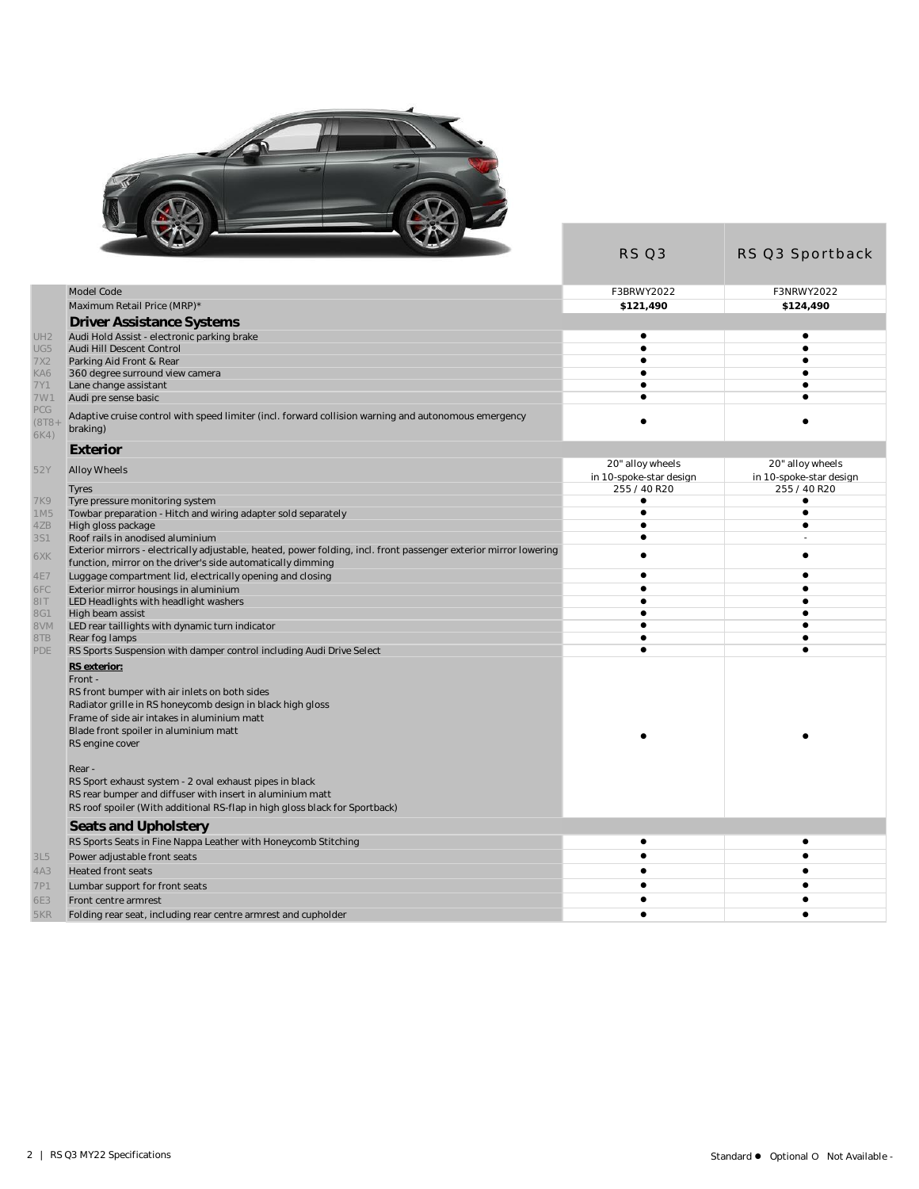

|                         |                                                                                                                                                                                                                        | RS Q3                   | RS Q3 Sportback         |
|-------------------------|------------------------------------------------------------------------------------------------------------------------------------------------------------------------------------------------------------------------|-------------------------|-------------------------|
|                         | Model Code                                                                                                                                                                                                             | F3BRWY2022              | F3NRWY2022              |
|                         | Maximum Retail Price (MRP)*                                                                                                                                                                                            | \$121.490               | \$124,490               |
|                         | <b>Driver Assistance Systems</b>                                                                                                                                                                                       |                         |                         |
| UH <sub>2</sub>         | Audi Hold Assist - electronic parking brake                                                                                                                                                                            | ٠                       | ٠                       |
| UG5                     | Audi Hill Descent Control                                                                                                                                                                                              | $\bullet$               |                         |
| 7X2                     | Parking Aid Front & Rear                                                                                                                                                                                               |                         |                         |
| KA6                     | 360 degree surround view camera                                                                                                                                                                                        | $\bullet$               |                         |
| 7Y1                     | Lane change assistant                                                                                                                                                                                                  | $\bullet$               |                         |
| 7W1                     | Audi pre sense basic                                                                                                                                                                                                   | ▲                       |                         |
| PCG<br>$(8T8 +$<br>6K4) | Adaptive cruise control with speed limiter (incl. forward collision warning and autonomous emergency<br>braking)                                                                                                       |                         |                         |
|                         | Exterior                                                                                                                                                                                                               |                         |                         |
|                         |                                                                                                                                                                                                                        | 20" alloy wheels        | 20" alloy wheels        |
| 52Y                     | Alloy Wheels                                                                                                                                                                                                           | in 10-spoke-star design | in 10-spoke-star design |
| <b>Tyres</b>            |                                                                                                                                                                                                                        | 255 / 40 R20            | 255 / 40 R20            |
| 7K9                     | Tyre pressure monitoring system                                                                                                                                                                                        | ٠                       | ٠                       |
| 1M5                     | Towbar preparation - Hitch and wiring adapter sold separately                                                                                                                                                          | $\bullet$<br>$\bullet$  | $\bullet$<br>$\bullet$  |
| 4ZB<br><b>3S1</b>       | High gloss package<br>Roof rails in anodised aluminium                                                                                                                                                                 | $\bullet$               |                         |
|                         | Exterior mirrors - electrically adjustable, heated, power folding, incl. front passenger exterior mirror lowering                                                                                                      |                         |                         |
| 6XK                     | function, mirror on the driver's side automatically dimming                                                                                                                                                            | $\bullet$               |                         |
| 4E7                     | Luggage compartment lid, electrically opening and closing                                                                                                                                                              | $\bullet$               |                         |
| 6FC                     | Exterior mirror housings in aluminium                                                                                                                                                                                  |                         |                         |
| 8IT                     | LED Headlights with headlight washers                                                                                                                                                                                  | $\bullet$               |                         |
| 8G1                     | High beam assist                                                                                                                                                                                                       | $\bullet$               |                         |
| 8VM                     | LED rear taillights with dynamic turn indicator                                                                                                                                                                        |                         |                         |
| 8TB                     | Rear fog lamps                                                                                                                                                                                                         | $\bullet$<br>$\bullet$  |                         |
| PDE                     | RS Sports Suspension with damper control including Audi Drive Select<br>RS exterior:                                                                                                                                   |                         |                         |
| Front -                 | RS front bumper with air inlets on both sides<br>Radiator grille in RS honeycomb design in black high gloss<br>Frame of side air intakes in aluminium matt<br>Blade front spoiler in aluminium matt                    |                         |                         |
| Rear -                  | RS engine cover<br>RS Sport exhaust system - 2 oval exhaust pipes in black<br>RS rear bumper and diffuser with insert in aluminium matt<br>RS roof spoiler (With additional RS-flap in high gloss black for Sportback) |                         |                         |
|                         | Seats and Upholstery                                                                                                                                                                                                   |                         |                         |
|                         | RS Sports Seats in Fine Nappa Leather with Honeycomb Stitching                                                                                                                                                         | $\bullet$               |                         |
| 3L5                     | Power adjustable front seats                                                                                                                                                                                           | $\bullet$               |                         |
| 4A3                     | <b>Heated front seats</b>                                                                                                                                                                                              |                         |                         |
| 7P1                     | Lumbar support for front seats                                                                                                                                                                                         | $\bullet$               |                         |
| 6E3                     | Front centre armrest                                                                                                                                                                                                   |                         |                         |
| 5KR                     | Folding rear seat, including rear centre armrest and cupholder                                                                                                                                                         | $\bullet$               |                         |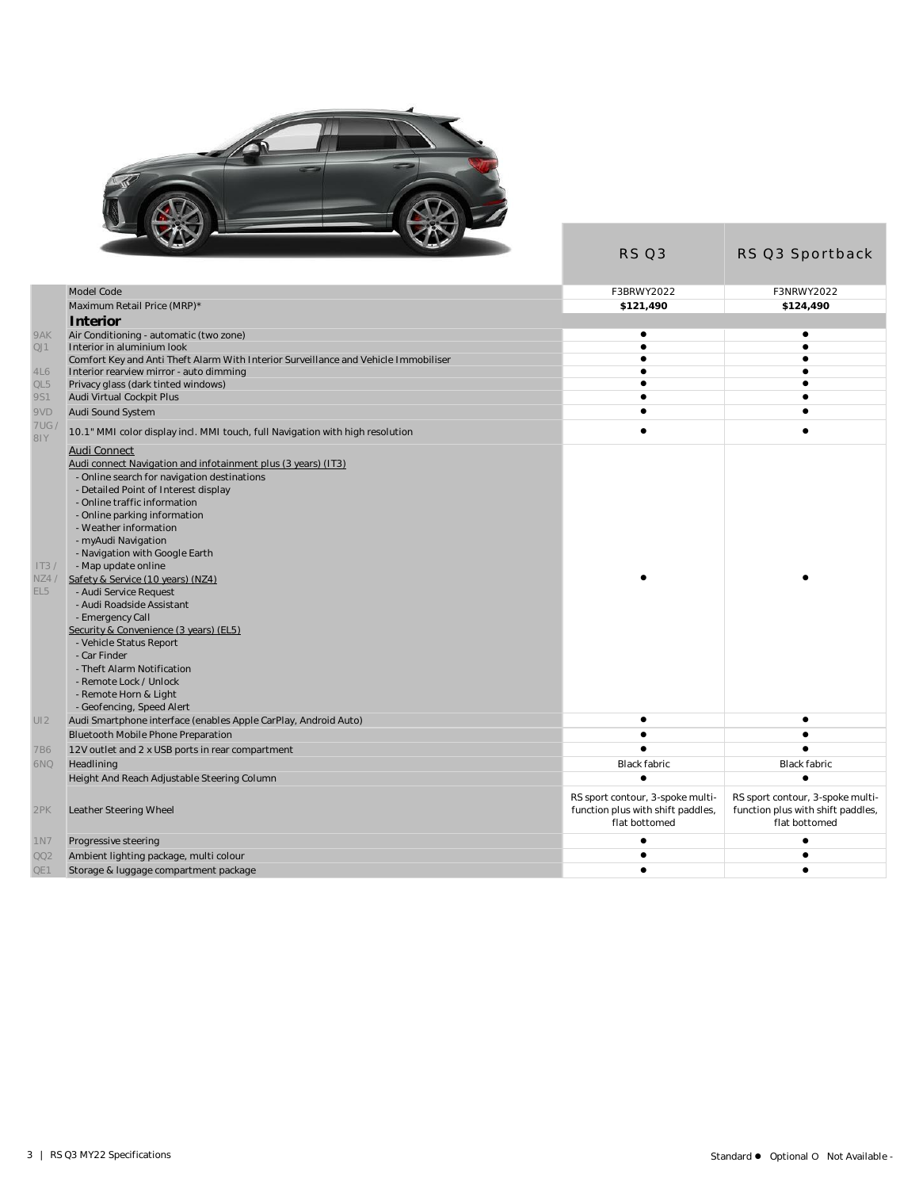

|                 | <b>State of</b><br><b>Contract Contract</b>                                         | RS Q3                                                                                  | RS Q3 Sportback                                                                        |
|-----------------|-------------------------------------------------------------------------------------|----------------------------------------------------------------------------------------|----------------------------------------------------------------------------------------|
|                 | Model Code                                                                          | F3BRWY2022                                                                             | F3NRWY2022                                                                             |
|                 | Maximum Retail Price (MRP)*                                                         | \$121,490                                                                              | \$124,490                                                                              |
|                 |                                                                                     |                                                                                        |                                                                                        |
| 9AK             | Interior<br>Air Conditioning - automatic (two zone)                                 | ٠                                                                                      | ٠                                                                                      |
| QJ1             | Interior in aluminium look                                                          | $\bullet$                                                                              | $\bullet$                                                                              |
|                 | Comfort Key and Anti Theft Alarm With Interior Surveillance and Vehicle Immobiliser | ٠                                                                                      | ٠                                                                                      |
| 4L6             | Interior rearview mirror - auto dimming                                             |                                                                                        |                                                                                        |
| QL5             | Privacy glass (dark tinted windows)                                                 | $\bullet$                                                                              | ٠                                                                                      |
| 9S1             | Audi Virtual Cockpit Plus                                                           | $\bullet$                                                                              |                                                                                        |
| 9VD             | Audi Sound System                                                                   | $\bullet$                                                                              |                                                                                        |
| 7UG /<br>81Y    | 10.1" MMI color display incl. MMI touch, full Navigation with high resolution       | $\bullet$                                                                              | $\bullet$                                                                              |
|                 | Audi Connect                                                                        |                                                                                        |                                                                                        |
|                 | Audi connect Navigation and infotainment plus (3 years) (IT3).                      |                                                                                        |                                                                                        |
|                 | - Online search for navigation destinations                                         |                                                                                        |                                                                                        |
|                 | - Detailed Point of Interest display                                                |                                                                                        |                                                                                        |
|                 | - Online traffic information                                                        |                                                                                        |                                                                                        |
|                 | - Online parking information<br>- Weather information                               |                                                                                        |                                                                                        |
|                 | - myAudi Navigation                                                                 |                                                                                        |                                                                                        |
|                 | - Navigation with Google Earth                                                      |                                                                                        |                                                                                        |
| IT3/            | - Map update online                                                                 |                                                                                        |                                                                                        |
| NZ4/            | Safety & Service (10 years) (NZ4)                                                   |                                                                                        |                                                                                        |
| EL <sub>5</sub> | - Audi Service Request                                                              |                                                                                        |                                                                                        |
|                 | - Audi Roadside Assistant                                                           |                                                                                        |                                                                                        |
|                 | - Emergency Call                                                                    |                                                                                        |                                                                                        |
|                 | Security & Convenience (3 years) (EL5)                                              |                                                                                        |                                                                                        |
|                 | - Vehicle Status Report                                                             |                                                                                        |                                                                                        |
|                 | - Car Finder                                                                        |                                                                                        |                                                                                        |
|                 | - Theft Alarm Notification<br>- Remote Lock / Unlock                                |                                                                                        |                                                                                        |
|                 | - Remote Horn & Light                                                               |                                                                                        |                                                                                        |
|                 | - Geofencing, Speed Alert                                                           |                                                                                        |                                                                                        |
| UI2             | Audi Smartphone interface (enables Apple CarPlay, Android Auto)                     | ٠                                                                                      | ٠                                                                                      |
|                 | Bluetooth Mobile Phone Preparation                                                  | ٠                                                                                      |                                                                                        |
| 7B6             | 12V outlet and 2 x USB ports in rear compartment                                    |                                                                                        |                                                                                        |
| 6NQ             | Headlining                                                                          | Black fabric                                                                           | <b>Black fabric</b>                                                                    |
|                 | Height And Reach Adjustable Steering Column                                         | $\bullet$                                                                              |                                                                                        |
| 2PK             | Leather Steering Wheel                                                              | RS sport contour, 3-spoke multi-<br>function plus with shift paddles,<br>flat bottomed | RS sport contour, 3-spoke multi-<br>function plus with shift paddles,<br>flat bottomed |
| 1 N 7           | Progressive steering                                                                | ٠                                                                                      | ٠                                                                                      |
| QQ2             | Ambient lighting package, multi colour                                              |                                                                                        |                                                                                        |
| QE1             | Storage & luggage compartment package                                               | $\bullet$                                                                              | ٠                                                                                      |